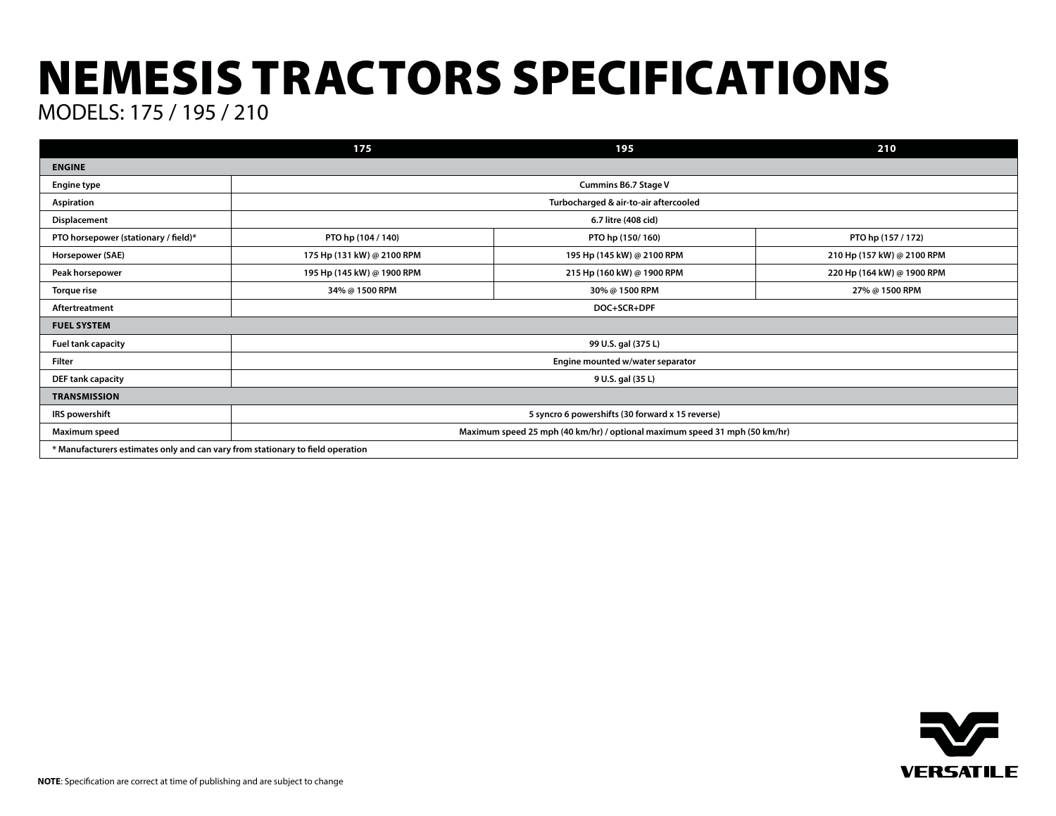## NEMESIS TRACTORS SPECIFICATIONS MODELS: 175 / 195 / 210

**175 195 210 ENGINE Engine type Cummins B6.7 Stage V Aspiration Turbocharged & air-to-air aftercooled Displacement 6.7 litre (408 cid) PTO horsepower (stationary / field)\* PTO hp (104 / 140) PTO hp (150/ 160) PTO hp (157 / 172) Horsepower (SAE) 175 Hp (131 kW) @ 2100 RPM 195 Hp (145 kW) @ 2100 RPM 210 Hp (157 kW) @ 2100 RPM Peak horsepower 195 Hp (145 kW) @ 1900 RPM 215 Hp (160 kW) @ 1900 RPM 220 Hp (164 kW) @ 1900 RPM Torque rise 34% @ 1500 RPM 30% @ 1500 RPM 27% @ 1500 RPM Aftertreatment DOC+SCR+DPF FUEL SYSTEM Fuel tank capacity 99 U.S. gal (375 L) Filter Engine mounted w/water separator DEF tank capacity 9 U.S. gal (35 L) TRANSMISSION IRS powershift 5 syncro 6 powershifts (30 forward x 15 reverse) Maximum speed Maximum speed 25 mph (40 km/hr) / optional maximum speed 31 mph (50 km/hr) \* Manufacturers estimates only and can vary from stationary to field operation**